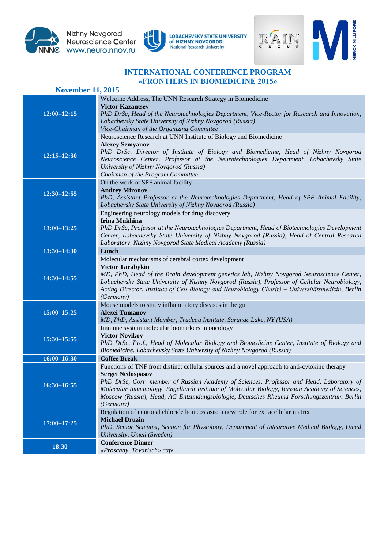





MERCK MILLIPORE

## **INTERNATIONAL CONFERENCE PROGRAM «FRONTIERS IN BIOMEDICINE 2015»**

| <b>November 11, 2015</b> |                                                                                                                                                                                                                                                                                                                                                                                                                          |  |
|--------------------------|--------------------------------------------------------------------------------------------------------------------------------------------------------------------------------------------------------------------------------------------------------------------------------------------------------------------------------------------------------------------------------------------------------------------------|--|
| $12:00 - 12:15$          | Welcome Address, The UNN Research Strategy in Biomedicine<br><b>Victor Kazantsev</b><br>PhD DrSc, Head of the Neurotechnologies Department, Vice-Rector for Research and Innovation,<br>Lobachevsky State University of Nizhny Novgorod (Russia)<br>Vice-Chairman of the Organizing Committee                                                                                                                            |  |
| $12:15 - 12:30$          | Neuroscience Research at UNN Institute of Biology and Biomedicine<br><b>Alexey Semyanov</b><br>PhD DrSc, Director of Institute of Biology and Biomedicine, Head of Nizhny Novgorod<br>Neuroscience Center, Professor at the Neurotechnologies Department, Lobachevsky State<br>University of Nizhny Novgorod (Russia)<br>Chairman of the Program Committee                                                               |  |
| $12:30 - 12:55$          | On the work of SPF animal facility<br><b>Andrey Mironov</b><br>PhD, Assistant Professor at the Neurotechnologies Department, Head of SPF Animal Facility,<br>Lobachevsky State University of Nizhny Novgorod (Russia)                                                                                                                                                                                                    |  |
| $13:00 - 13:25$          | Engineering neurology models for drug discovery<br><b>Irina Mukhina</b><br>PhD DrSc, Professor at the Neurotechnologies Department, Head of Biotechnologies Development<br>Center, Lobachevsky State University of Nizhny Novgorod (Russia), Head of Central Research<br>Laboratory, Nizhny Novgorod State Medical Academy (Russia)                                                                                      |  |
| $13:30 - 14:30$          | Lunch                                                                                                                                                                                                                                                                                                                                                                                                                    |  |
| 14:30-14:55              | Molecular mechanisms of cerebral cortex development<br><b>Victor Tarabykin</b><br>MD, PhD, Head of the Brain development genetics lab, Nizhny Novgorod Neuroscience Center,<br>Lobachevsky State University of Nizhny Novgorod (Russia), Professor of Cellular Neurobiology,<br>Acting Director, Institute of Cell Biology and Neurobiology Charité - Universitätsmedizin, Berlin<br>(Germany)                           |  |
| 15:00-15:25              | Mouse models to study inflammatory diseases in the gut<br><b>Alexei Tumanov</b><br>MD, PhD, Assistant Member, Trudeau Institute, Saranac Lake, NY (USA)                                                                                                                                                                                                                                                                  |  |
| 15:30-15:55              | Immune system molecular biomarkers in oncology<br><b>Victor Novikov</b><br>PhD DrSc, Prof., Head of Molecular Biology and Biomedicine Center, Institute of Biology and<br>Biomedicine, Lobachevsky State University of Nizhny Novgorod (Russia)                                                                                                                                                                          |  |
| $16:00 - 16:30$          | <b>Coffee Break</b>                                                                                                                                                                                                                                                                                                                                                                                                      |  |
| $16:30 - 16:55$          | Functions of TNF from distinct cellular sources and a novel approach to anti-cytokine therapy<br>Sergei Nedospasov<br>PhD DrSc, Corr. member of Russian Academy of Sciences, Professor and Head, Laboratory of<br>Molecular Immunology, Engelhardt Institute of Molecular Biology, Russian Academy of Sciences,<br>Moscow (Russia), Head, AG Entzundungsbiologie, Deutsches Rheuma-Forschungszentrum Berlin<br>(Germany) |  |
| $17:00 - 17:25$          | Regulation of neuronal chloride homeostasis: a new role for extracellular matrix<br><b>Michael Druzin</b><br>PhD, Senior Scientist, Section for Physiology, Department of Integrative Medical Biology, Umeå<br>University, Umeå (Sweden)                                                                                                                                                                                 |  |
| 18:30                    | <b>Conference Dinner</b><br>«Proschay, Tovarisch» cafe                                                                                                                                                                                                                                                                                                                                                                   |  |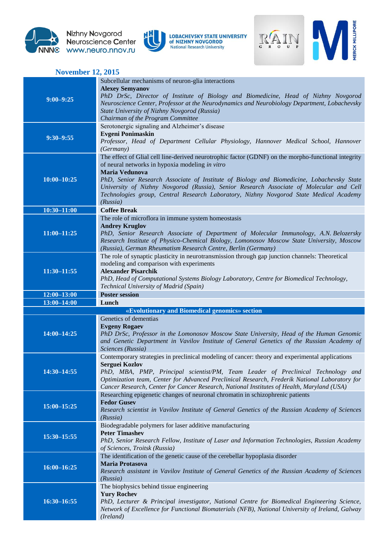

Nizhny Novgorod<br>Neuroscience Center www.neuro.nnov.ru





| <b>November 12, 2015</b> |                                                                                                                                                                                                                                                                                                                                                                                                                                                                        |  |
|--------------------------|------------------------------------------------------------------------------------------------------------------------------------------------------------------------------------------------------------------------------------------------------------------------------------------------------------------------------------------------------------------------------------------------------------------------------------------------------------------------|--|
| $9:00 - 9:25$            | Subcellular mechanisms of neuron-glia interactions<br><b>Alexey Semyanov</b><br>PhD DrSc, Director of Institute of Biology and Biomedicine, Head of Nizhny Novgorod<br>Neuroscience Center, Professor at the Neurodynamics and Neurobiology Department, Lobachevsky<br>State University of Nizhny Novgorod (Russia)<br>Chairman of the Program Committee                                                                                                               |  |
| $9:30 - 9:55$            | Serotonergic signaling and Alzheimer's disease<br><b>Evgeni Ponimaskin</b><br>Professor, Head of Department Cellular Physiology, Hannover Medical School, Hannover<br>(Germany)                                                                                                                                                                                                                                                                                        |  |
| $10:00 - 10:25$          | The effect of Glial cell line-derived neurotrophic factor (GDNF) on the morpho-functional integrity<br>of neural networks in hypoxia modeling in vitro<br>Maria Vedunova<br>PhD, Senior Research Associate of Institute of Biology and Biomedicine, Lobachevsky State<br>University of Nizhny Novgorod (Russia), Senior Research Associate of Molecular and Cell<br>Technologies group, Central Research Laboratory, Nizhny Novgorod State Medical Academy<br>(Russia) |  |
| $10:30 - 11:00$          | <b>Coffee Break</b>                                                                                                                                                                                                                                                                                                                                                                                                                                                    |  |
| $11:00 - 11:25$          | The role of microflora in immune system homeostasis<br><b>Andrey Kruglov</b><br>PhD, Senior Research Associate of Department of Molecular Immunology, A.N. Belozersky<br>Research Institute of Physico-Chemical Biology, Lomonosov Moscow State University, Moscow<br>(Russia), German Rheumatism Research Centre, Berlin (Germany)                                                                                                                                    |  |
| $11:30 - 11:55$          | The role of synaptic plasticity in neurotransmission through gap junction channels: Theoretical<br>modeling and comparison with experiments<br><b>Alexander Pisarchik</b><br>PhD, Head of Computational Systems Biology Laboratory, Centre for Biomedical Technology,<br>Technical University of Madrid (Spain)                                                                                                                                                        |  |
|                          |                                                                                                                                                                                                                                                                                                                                                                                                                                                                        |  |
| $12:00 - 13:00$          | <b>Poster session</b>                                                                                                                                                                                                                                                                                                                                                                                                                                                  |  |
| $13:00 - 14:00$          | Lunch                                                                                                                                                                                                                                                                                                                                                                                                                                                                  |  |
| 14:00-14:25              | «Evolutionary and Biomedical genomics» section<br>Genetics of dementias<br><b>Evgeny Rogaev</b><br>PhD DrSc, Professor in the Lomonosov Moscow State University, Head of the Human Genomic<br>and Genetic Department in Vavilov Institute of General Genetics of the Russian Academy of                                                                                                                                                                                |  |
| 14:30-14:55              | Sciences (Russia)<br>Contemporary strategies in preclinical modeling of cancer: theory and experimental applications<br>Serguei Kozlov<br>PhD, MBA, PMP, Principal scientist/PM, Team Leader of Preclinical Technology and<br>Optimization team, Center for Advanced Preclinical Research, Frederik National Laboratory for<br>Cancer Research, Center for Cancer Research, National Institutes of Health, Maryland (USA)                                              |  |
| $15:00 - 15:25$          | Researching epigenetic changes of neuronal chromatin in schizophrenic patients<br><b>Fedor Gusev</b><br>Research scientist in Vavilov Institute of General Genetics of the Russian Academy of Sciences<br>(Russia)                                                                                                                                                                                                                                                     |  |
| 15:30-15:55              | Biodegradable polymers for laser additive manufacturing<br><b>Peter Timashev</b><br>PhD, Senior Research Fellow, Institute of Laser and Information Technologies, Russian Academy<br>of Sciences, Troitsk (Russia)                                                                                                                                                                                                                                                     |  |
| $16:00 - 16:25$          | The identification of the genetic cause of the cerebellar hypoplasia disorder<br>Maria Protasova<br>Research assistant in Vavilov Institute of General Genetics of the Russian Academy of Sciences<br>(Russia)                                                                                                                                                                                                                                                         |  |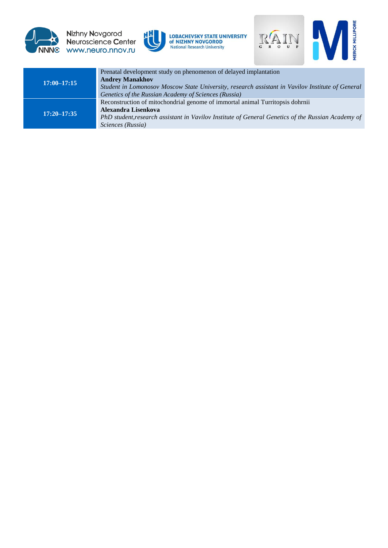

Nizhny Novgorod<br>Neuroscience Center NNNC www.neuro.nnov.ru





| $17:00 - 17:15$ | Prenatal development study on phenomenon of delayed implantation<br><b>Andrey Manakhov</b><br>Student in Lomonosov Moscow State University, research assistant in Vavilov Institute of General<br>Genetics of the Russian Academy of Sciences (Russia) |
|-----------------|--------------------------------------------------------------------------------------------------------------------------------------------------------------------------------------------------------------------------------------------------------|
| $17:20 - 17:35$ | Reconstruction of mitochondrial genome of immortal animal Turritopsis dohrnii<br>Alexandra Lisenkova<br>PhD student, research assistant in Vavilov Institute of General Genetics of the Russian Academy of<br>Sciences (Russia)                        |
|                 |                                                                                                                                                                                                                                                        |